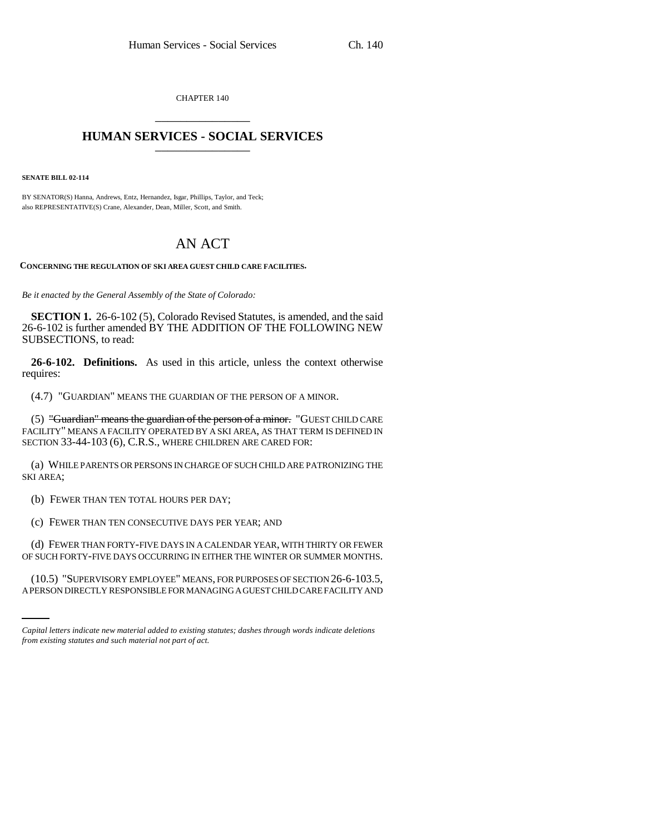CHAPTER 140 \_\_\_\_\_\_\_\_\_\_\_\_\_\_\_

## **HUMAN SERVICES - SOCIAL SERVICES** \_\_\_\_\_\_\_\_\_\_\_\_\_\_\_

**SENATE BILL 02-114**

BY SENATOR(S) Hanna, Andrews, Entz, Hernandez, Isgar, Phillips, Taylor, and Teck; also REPRESENTATIVE(S) Crane, Alexander, Dean, Miller, Scott, and Smith.

## AN ACT

**CONCERNING THE REGULATION OF SKI AREA GUEST CHILD CARE FACILITIES.**

*Be it enacted by the General Assembly of the State of Colorado:*

**SECTION 1.** 26-6-102 (5), Colorado Revised Statutes, is amended, and the said 26-6-102 is further amended BY THE ADDITION OF THE FOLLOWING NEW SUBSECTIONS, to read:

**26-6-102. Definitions.** As used in this article, unless the context otherwise requires:

(4.7) "GUARDIAN" MEANS THE GUARDIAN OF THE PERSON OF A MINOR.

 $(5)$  "Guardian" means the guardian of the person of a minor. "GUEST CHILD CARE FACILITY" MEANS A FACILITY OPERATED BY A SKI AREA, AS THAT TERM IS DEFINED IN SECTION 33-44-103 (6), C.R.S., WHERE CHILDREN ARE CARED FOR:

(a) WHILE PARENTS OR PERSONS IN CHARGE OF SUCH CHILD ARE PATRONIZING THE SKI AREA;

(b) FEWER THAN TEN TOTAL HOURS PER DAY;

(c) FEWER THAN TEN CONSECUTIVE DAYS PER YEAR; AND

OF SUCH FORTY-FIVE DAYS OCCURRING IN EITHER THE WINTER OR SUMMER MONTHS. (d) FEWER THAN FORTY-FIVE DAYS IN A CALENDAR YEAR, WITH THIRTY OR FEWER

(10.5) "SUPERVISORY EMPLOYEE" MEANS, FOR PURPOSES OF SECTION 26-6-103.5, A PERSON DIRECTLY RESPONSIBLE FOR MANAGING A GUEST CHILD CARE FACILITY AND

*Capital letters indicate new material added to existing statutes; dashes through words indicate deletions from existing statutes and such material not part of act.*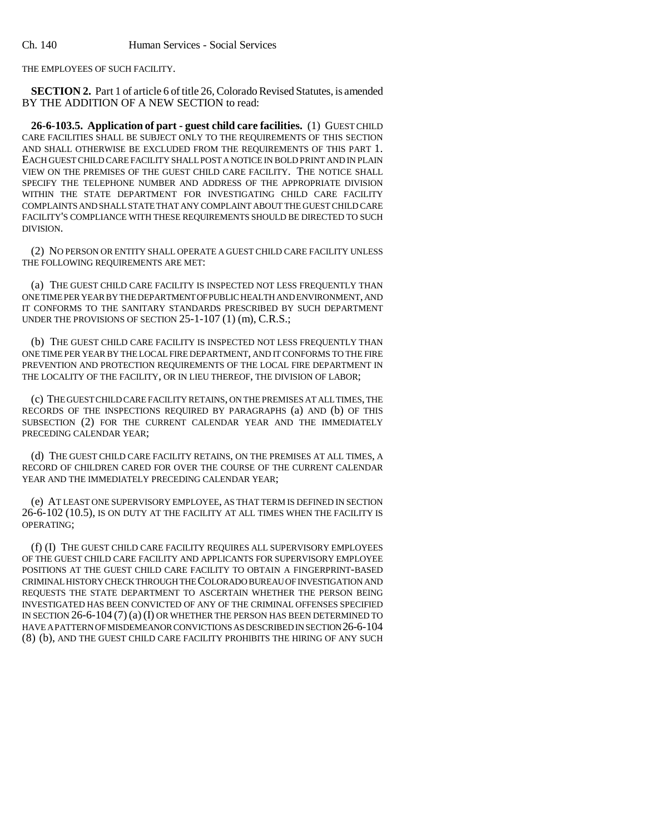Ch. 140 Human Services - Social Services

THE EMPLOYEES OF SUCH FACILITY.

**SECTION 2.** Part 1 of article 6 of title 26, Colorado Revised Statutes, is amended BY THE ADDITION OF A NEW SECTION to read:

**26-6-103.5. Application of part - guest child care facilities.** (1) GUEST CHILD CARE FACILITIES SHALL BE SUBJECT ONLY TO THE REQUIREMENTS OF THIS SECTION AND SHALL OTHERWISE BE EXCLUDED FROM THE REQUIREMENTS OF THIS PART 1. EACH GUEST CHILD CARE FACILITY SHALL POST A NOTICE IN BOLD PRINT AND IN PLAIN VIEW ON THE PREMISES OF THE GUEST CHILD CARE FACILITY. THE NOTICE SHALL SPECIFY THE TELEPHONE NUMBER AND ADDRESS OF THE APPROPRIATE DIVISION WITHIN THE STATE DEPARTMENT FOR INVESTIGATING CHILD CARE FACILITY COMPLAINTS AND SHALL STATE THAT ANY COMPLAINT ABOUT THE GUEST CHILD CARE FACILITY'S COMPLIANCE WITH THESE REQUIREMENTS SHOULD BE DIRECTED TO SUCH DIVISION.

(2) NO PERSON OR ENTITY SHALL OPERATE A GUEST CHILD CARE FACILITY UNLESS THE FOLLOWING REQUIREMENTS ARE MET:

(a) THE GUEST CHILD CARE FACILITY IS INSPECTED NOT LESS FREQUENTLY THAN ONE TIME PER YEAR BY THE DEPARTMENT OF PUBLIC HEALTH AND ENVIRONMENT, AND IT CONFORMS TO THE SANITARY STANDARDS PRESCRIBED BY SUCH DEPARTMENT UNDER THE PROVISIONS OF SECTION 25-1-107 (1) (m), C.R.S.;

(b) THE GUEST CHILD CARE FACILITY IS INSPECTED NOT LESS FREQUENTLY THAN ONE TIME PER YEAR BY THE LOCAL FIRE DEPARTMENT, AND IT CONFORMS TO THE FIRE PREVENTION AND PROTECTION REQUIREMENTS OF THE LOCAL FIRE DEPARTMENT IN THE LOCALITY OF THE FACILITY, OR IN LIEU THEREOF, THE DIVISION OF LABOR;

(c) THE GUEST CHILD CARE FACILITY RETAINS, ON THE PREMISES AT ALL TIMES, THE RECORDS OF THE INSPECTIONS REQUIRED BY PARAGRAPHS (a) AND (b) OF THIS SUBSECTION (2) FOR THE CURRENT CALENDAR YEAR AND THE IMMEDIATELY PRECEDING CALENDAR YEAR;

(d) THE GUEST CHILD CARE FACILITY RETAINS, ON THE PREMISES AT ALL TIMES, A RECORD OF CHILDREN CARED FOR OVER THE COURSE OF THE CURRENT CALENDAR YEAR AND THE IMMEDIATELY PRECEDING CALENDAR YEAR:

(e) AT LEAST ONE SUPERVISORY EMPLOYEE, AS THAT TERM IS DEFINED IN SECTION 26-6-102 (10.5), IS ON DUTY AT THE FACILITY AT ALL TIMES WHEN THE FACILITY IS OPERATING;

(f) (I) THE GUEST CHILD CARE FACILITY REQUIRES ALL SUPERVISORY EMPLOYEES OF THE GUEST CHILD CARE FACILITY AND APPLICANTS FOR SUPERVISORY EMPLOYEE POSITIONS AT THE GUEST CHILD CARE FACILITY TO OBTAIN A FINGERPRINT-BASED CRIMINAL HISTORY CHECK THROUGH THE COLORADO BUREAU OF INVESTIGATION AND REQUESTS THE STATE DEPARTMENT TO ASCERTAIN WHETHER THE PERSON BEING INVESTIGATED HAS BEEN CONVICTED OF ANY OF THE CRIMINAL OFFENSES SPECIFIED IN SECTION 26-6-104 (7) (a) (I) OR WHETHER THE PERSON HAS BEEN DETERMINED TO HAVE A PATTERN OF MISDEMEANOR CONVICTIONS AS DESCRIBED IN SECTION 26-6-104 (8) (b), AND THE GUEST CHILD CARE FACILITY PROHIBITS THE HIRING OF ANY SUCH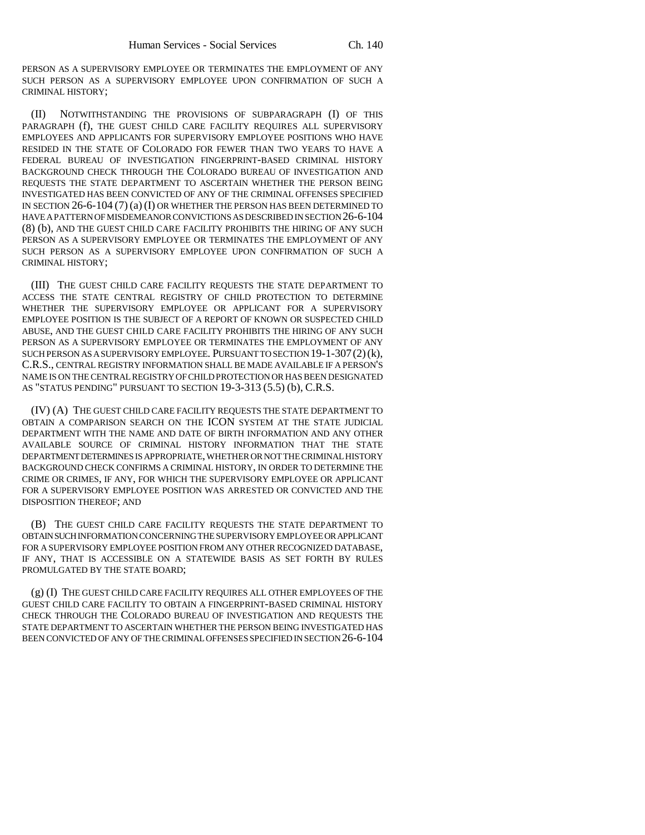PERSON AS A SUPERVISORY EMPLOYEE OR TERMINATES THE EMPLOYMENT OF ANY SUCH PERSON AS A SUPERVISORY EMPLOYEE UPON CONFIRMATION OF SUCH A CRIMINAL HISTORY;

(II) NOTWITHSTANDING THE PROVISIONS OF SUBPARAGRAPH (I) OF THIS PARAGRAPH (f), THE GUEST CHILD CARE FACILITY REQUIRES ALL SUPERVISORY EMPLOYEES AND APPLICANTS FOR SUPERVISORY EMPLOYEE POSITIONS WHO HAVE RESIDED IN THE STATE OF COLORADO FOR FEWER THAN TWO YEARS TO HAVE A FEDERAL BUREAU OF INVESTIGATION FINGERPRINT-BASED CRIMINAL HISTORY BACKGROUND CHECK THROUGH THE COLORADO BUREAU OF INVESTIGATION AND REQUESTS THE STATE DEPARTMENT TO ASCERTAIN WHETHER THE PERSON BEING INVESTIGATED HAS BEEN CONVICTED OF ANY OF THE CRIMINAL OFFENSES SPECIFIED IN SECTION 26-6-104 (7) (a) (I) OR WHETHER THE PERSON HAS BEEN DETERMINED TO HAVE A PATTERN OF MISDEMEANOR CONVICTIONS AS DESCRIBED IN SECTION 26-6-104 (8) (b), AND THE GUEST CHILD CARE FACILITY PROHIBITS THE HIRING OF ANY SUCH PERSON AS A SUPERVISORY EMPLOYEE OR TERMINATES THE EMPLOYMENT OF ANY SUCH PERSON AS A SUPERVISORY EMPLOYEE UPON CONFIRMATION OF SUCH A CRIMINAL HISTORY;

(III) THE GUEST CHILD CARE FACILITY REQUESTS THE STATE DEPARTMENT TO ACCESS THE STATE CENTRAL REGISTRY OF CHILD PROTECTION TO DETERMINE WHETHER THE SUPERVISORY EMPLOYEE OR APPLICANT FOR A SUPERVISORY EMPLOYEE POSITION IS THE SUBJECT OF A REPORT OF KNOWN OR SUSPECTED CHILD ABUSE, AND THE GUEST CHILD CARE FACILITY PROHIBITS THE HIRING OF ANY SUCH PERSON AS A SUPERVISORY EMPLOYEE OR TERMINATES THE EMPLOYMENT OF ANY SUCH PERSON AS A SUPERVISORY EMPLOYEE. PURSUANT TO SECTION 19-1-307(2)(k), C.R.S., CENTRAL REGISTRY INFORMATION SHALL BE MADE AVAILABLE IF A PERSON'S NAME IS ON THE CENTRAL REGISTRY OF CHILD PROTECTION OR HAS BEEN DESIGNATED AS "STATUS PENDING" PURSUANT TO SECTION 19-3-313 (5.5) (b), C.R.S.

(IV) (A) THE GUEST CHILD CARE FACILITY REQUESTS THE STATE DEPARTMENT TO OBTAIN A COMPARISON SEARCH ON THE ICON SYSTEM AT THE STATE JUDICIAL DEPARTMENT WITH THE NAME AND DATE OF BIRTH INFORMATION AND ANY OTHER AVAILABLE SOURCE OF CRIMINAL HISTORY INFORMATION THAT THE STATE DEPARTMENT DETERMINES IS APPROPRIATE, WHETHER OR NOT THE CRIMINAL HISTORY BACKGROUND CHECK CONFIRMS A CRIMINAL HISTORY, IN ORDER TO DETERMINE THE CRIME OR CRIMES, IF ANY, FOR WHICH THE SUPERVISORY EMPLOYEE OR APPLICANT FOR A SUPERVISORY EMPLOYEE POSITION WAS ARRESTED OR CONVICTED AND THE DISPOSITION THEREOF; AND

(B) THE GUEST CHILD CARE FACILITY REQUESTS THE STATE DEPARTMENT TO OBTAIN SUCH INFORMATION CONCERNING THE SUPERVISORY EMPLOYEE OR APPLICANT FOR A SUPERVISORY EMPLOYEE POSITION FROM ANY OTHER RECOGNIZED DATABASE, IF ANY, THAT IS ACCESSIBLE ON A STATEWIDE BASIS AS SET FORTH BY RULES PROMULGATED BY THE STATE BOARD;

(g) (I) THE GUEST CHILD CARE FACILITY REQUIRES ALL OTHER EMPLOYEES OF THE GUEST CHILD CARE FACILITY TO OBTAIN A FINGERPRINT-BASED CRIMINAL HISTORY CHECK THROUGH THE COLORADO BUREAU OF INVESTIGATION AND REQUESTS THE STATE DEPARTMENT TO ASCERTAIN WHETHER THE PERSON BEING INVESTIGATED HAS BEEN CONVICTED OF ANY OF THE CRIMINAL OFFENSES SPECIFIED IN SECTION 26-6-104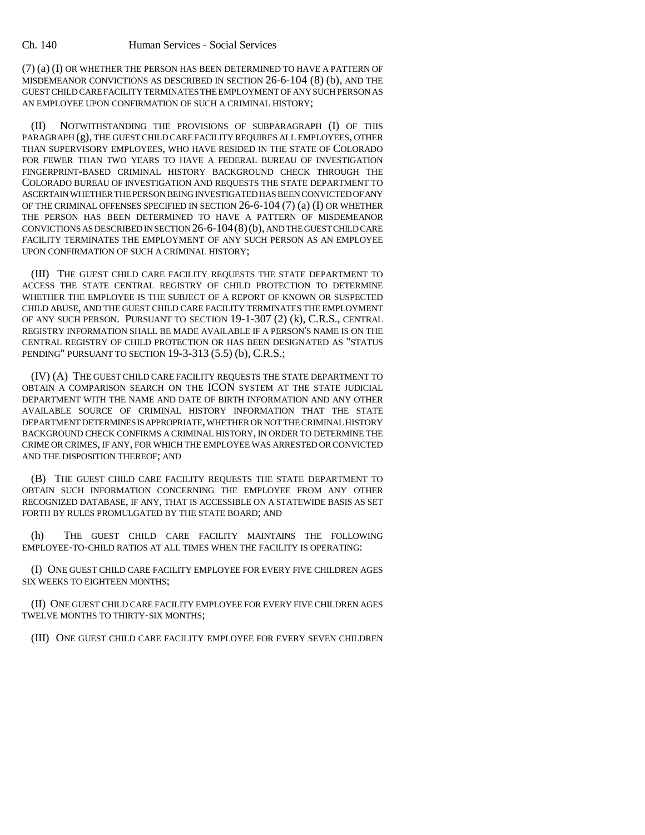(7) (a) (I) OR WHETHER THE PERSON HAS BEEN DETERMINED TO HAVE A PATTERN OF MISDEMEANOR CONVICTIONS AS DESCRIBED IN SECTION 26-6-104 (8) (b), AND THE GUEST CHILD CARE FACILITY TERMINATES THE EMPLOYMENT OF ANY SUCH PERSON AS AN EMPLOYEE UPON CONFIRMATION OF SUCH A CRIMINAL HISTORY;

(II) NOTWITHSTANDING THE PROVISIONS OF SUBPARAGRAPH (I) OF THIS PARAGRAPH (g), THE GUEST CHILD CARE FACILITY REQUIRES ALL EMPLOYEES, OTHER THAN SUPERVISORY EMPLOYEES, WHO HAVE RESIDED IN THE STATE OF COLORADO FOR FEWER THAN TWO YEARS TO HAVE A FEDERAL BUREAU OF INVESTIGATION FINGERPRINT-BASED CRIMINAL HISTORY BACKGROUND CHECK THROUGH THE COLORADO BUREAU OF INVESTIGATION AND REQUESTS THE STATE DEPARTMENT TO ASCERTAIN WHETHER THE PERSON BEING INVESTIGATED HAS BEEN CONVICTED OF ANY OF THE CRIMINAL OFFENSES SPECIFIED IN SECTION 26-6-104 (7) (a) (I) OR WHETHER THE PERSON HAS BEEN DETERMINED TO HAVE A PATTERN OF MISDEMEANOR CONVICTIONS AS DESCRIBED IN SECTION 26-6-104(8)(b), AND THE GUEST CHILD CARE FACILITY TERMINATES THE EMPLOYMENT OF ANY SUCH PERSON AS AN EMPLOYEE UPON CONFIRMATION OF SUCH A CRIMINAL HISTORY;

(III) THE GUEST CHILD CARE FACILITY REQUESTS THE STATE DEPARTMENT TO ACCESS THE STATE CENTRAL REGISTRY OF CHILD PROTECTION TO DETERMINE WHETHER THE EMPLOYEE IS THE SUBJECT OF A REPORT OF KNOWN OR SUSPECTED CHILD ABUSE, AND THE GUEST CHILD CARE FACILITY TERMINATES THE EMPLOYMENT OF ANY SUCH PERSON. PURSUANT TO SECTION 19-1-307 (2) (k), C.R.S., CENTRAL REGISTRY INFORMATION SHALL BE MADE AVAILABLE IF A PERSON'S NAME IS ON THE CENTRAL REGISTRY OF CHILD PROTECTION OR HAS BEEN DESIGNATED AS "STATUS PENDING" PURSUANT TO SECTION 19-3-313 (5.5) (b), C.R.S.;

(IV) (A) THE GUEST CHILD CARE FACILITY REQUESTS THE STATE DEPARTMENT TO OBTAIN A COMPARISON SEARCH ON THE ICON SYSTEM AT THE STATE JUDICIAL DEPARTMENT WITH THE NAME AND DATE OF BIRTH INFORMATION AND ANY OTHER AVAILABLE SOURCE OF CRIMINAL HISTORY INFORMATION THAT THE STATE DEPARTMENT DETERMINES IS APPROPRIATE, WHETHER OR NOT THE CRIMINAL HISTORY BACKGROUND CHECK CONFIRMS A CRIMINAL HISTORY, IN ORDER TO DETERMINE THE CRIME OR CRIMES, IF ANY, FOR WHICH THE EMPLOYEE WAS ARRESTED OR CONVICTED AND THE DISPOSITION THEREOF; AND

(B) THE GUEST CHILD CARE FACILITY REQUESTS THE STATE DEPARTMENT TO OBTAIN SUCH INFORMATION CONCERNING THE EMPLOYEE FROM ANY OTHER RECOGNIZED DATABASE, IF ANY, THAT IS ACCESSIBLE ON A STATEWIDE BASIS AS SET FORTH BY RULES PROMULGATED BY THE STATE BOARD; AND

(h) THE GUEST CHILD CARE FACILITY MAINTAINS THE FOLLOWING EMPLOYEE-TO-CHILD RATIOS AT ALL TIMES WHEN THE FACILITY IS OPERATING:

(I) ONE GUEST CHILD CARE FACILITY EMPLOYEE FOR EVERY FIVE CHILDREN AGES SIX WEEKS TO EIGHTEEN MONTHS;

(II) ONE GUEST CHILD CARE FACILITY EMPLOYEE FOR EVERY FIVE CHILDREN AGES TWELVE MONTHS TO THIRTY-SIX MONTHS;

(III) ONE GUEST CHILD CARE FACILITY EMPLOYEE FOR EVERY SEVEN CHILDREN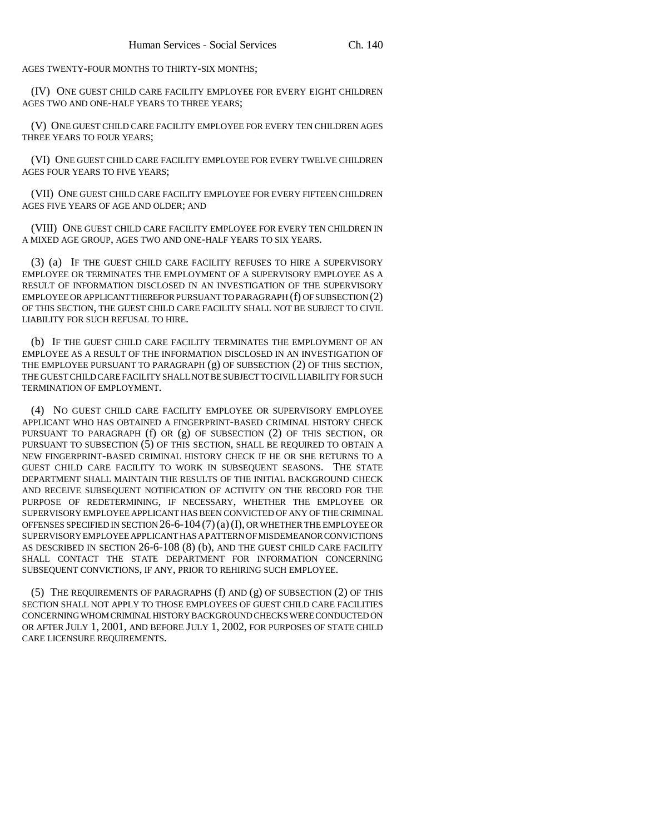AGES TWENTY-FOUR MONTHS TO THIRTY-SIX MONTHS;

(IV) ONE GUEST CHILD CARE FACILITY EMPLOYEE FOR EVERY EIGHT CHILDREN AGES TWO AND ONE-HALF YEARS TO THREE YEARS;

(V) ONE GUEST CHILD CARE FACILITY EMPLOYEE FOR EVERY TEN CHILDREN AGES THREE YEARS TO FOUR YEARS;

(VI) ONE GUEST CHILD CARE FACILITY EMPLOYEE FOR EVERY TWELVE CHILDREN AGES FOUR YEARS TO FIVE YEARS;

(VII) ONE GUEST CHILD CARE FACILITY EMPLOYEE FOR EVERY FIFTEEN CHILDREN AGES FIVE YEARS OF AGE AND OLDER; AND

(VIII) ONE GUEST CHILD CARE FACILITY EMPLOYEE FOR EVERY TEN CHILDREN IN A MIXED AGE GROUP, AGES TWO AND ONE-HALF YEARS TO SIX YEARS.

(3) (a) IF THE GUEST CHILD CARE FACILITY REFUSES TO HIRE A SUPERVISORY EMPLOYEE OR TERMINATES THE EMPLOYMENT OF A SUPERVISORY EMPLOYEE AS A RESULT OF INFORMATION DISCLOSED IN AN INVESTIGATION OF THE SUPERVISORY EMPLOYEE OR APPLICANT THEREFOR PURSUANT TO PARAGRAPH (f) OF SUBSECTION (2) OF THIS SECTION, THE GUEST CHILD CARE FACILITY SHALL NOT BE SUBJECT TO CIVIL LIABILITY FOR SUCH REFUSAL TO HIRE.

(b) IF THE GUEST CHILD CARE FACILITY TERMINATES THE EMPLOYMENT OF AN EMPLOYEE AS A RESULT OF THE INFORMATION DISCLOSED IN AN INVESTIGATION OF THE EMPLOYEE PURSUANT TO PARAGRAPH (g) OF SUBSECTION (2) OF THIS SECTION, THE GUEST CHILD CARE FACILITY SHALL NOT BE SUBJECT TO CIVIL LIABILITY FOR SUCH TERMINATION OF EMPLOYMENT.

(4) NO GUEST CHILD CARE FACILITY EMPLOYEE OR SUPERVISORY EMPLOYEE APPLICANT WHO HAS OBTAINED A FINGERPRINT-BASED CRIMINAL HISTORY CHECK PURSUANT TO PARAGRAPH (f) OR (g) OF SUBSECTION (2) OF THIS SECTION, OR PURSUANT TO SUBSECTION (5) OF THIS SECTION, SHALL BE REQUIRED TO OBTAIN A NEW FINGERPRINT-BASED CRIMINAL HISTORY CHECK IF HE OR SHE RETURNS TO A GUEST CHILD CARE FACILITY TO WORK IN SUBSEQUENT SEASONS. THE STATE DEPARTMENT SHALL MAINTAIN THE RESULTS OF THE INITIAL BACKGROUND CHECK AND RECEIVE SUBSEQUENT NOTIFICATION OF ACTIVITY ON THE RECORD FOR THE PURPOSE OF REDETERMINING, IF NECESSARY, WHETHER THE EMPLOYEE OR SUPERVISORY EMPLOYEE APPLICANT HAS BEEN CONVICTED OF ANY OF THE CRIMINAL OFFENSES SPECIFIED IN SECTION 26-6-104 (7)(a)(I), OR WHETHER THE EMPLOYEE OR SUPERVISORY EMPLOYEE APPLICANT HAS A PATTERN OF MISDEMEANOR CONVICTIONS AS DESCRIBED IN SECTION 26-6-108 (8) (b), AND THE GUEST CHILD CARE FACILITY SHALL CONTACT THE STATE DEPARTMENT FOR INFORMATION CONCERNING SUBSEQUENT CONVICTIONS, IF ANY, PRIOR TO REHIRING SUCH EMPLOYEE.

(5) THE REQUIREMENTS OF PARAGRAPHS (f) AND (g) OF SUBSECTION (2) OF THIS SECTION SHALL NOT APPLY TO THOSE EMPLOYEES OF GUEST CHILD CARE FACILITIES CONCERNING WHOM CRIMINAL HISTORY BACKGROUND CHECKS WERE CONDUCTED ON OR AFTER JULY 1, 2001, AND BEFORE JULY 1, 2002, FOR PURPOSES OF STATE CHILD CARE LICENSURE REQUIREMENTS.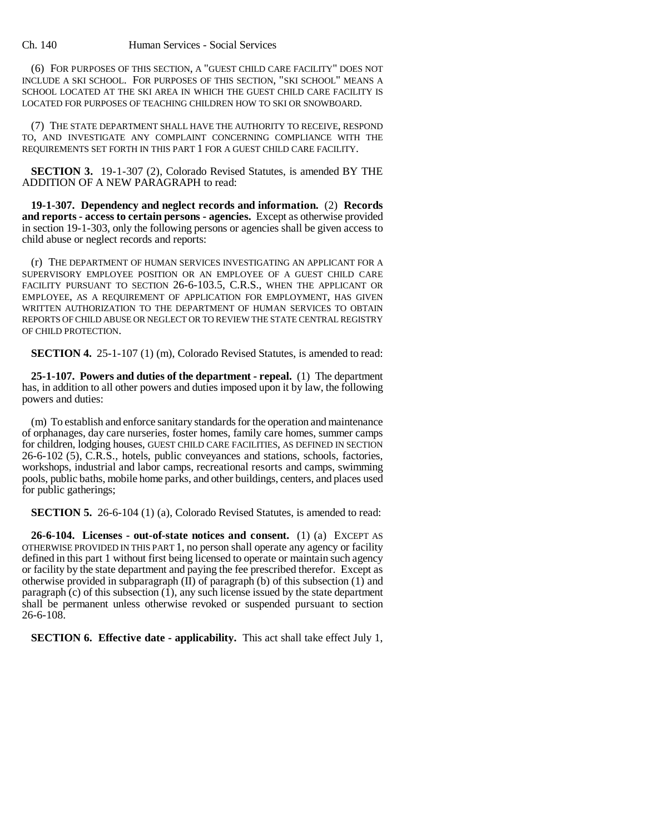(6) FOR PURPOSES OF THIS SECTION, A "GUEST CHILD CARE FACILITY" DOES NOT INCLUDE A SKI SCHOOL. FOR PURPOSES OF THIS SECTION, "SKI SCHOOL" MEANS A SCHOOL LOCATED AT THE SKI AREA IN WHICH THE GUEST CHILD CARE FACILITY IS LOCATED FOR PURPOSES OF TEACHING CHILDREN HOW TO SKI OR SNOWBOARD.

(7) THE STATE DEPARTMENT SHALL HAVE THE AUTHORITY TO RECEIVE, RESPOND TO, AND INVESTIGATE ANY COMPLAINT CONCERNING COMPLIANCE WITH THE REQUIREMENTS SET FORTH IN THIS PART 1 FOR A GUEST CHILD CARE FACILITY.

**SECTION 3.** 19-1-307 (2), Colorado Revised Statutes, is amended BY THE ADDITION OF A NEW PARAGRAPH to read:

**19-1-307. Dependency and neglect records and information.** (2) **Records and reports - access to certain persons - agencies.** Except as otherwise provided in section 19-1-303, only the following persons or agencies shall be given access to child abuse or neglect records and reports:

(r) THE DEPARTMENT OF HUMAN SERVICES INVESTIGATING AN APPLICANT FOR A SUPERVISORY EMPLOYEE POSITION OR AN EMPLOYEE OF A GUEST CHILD CARE FACILITY PURSUANT TO SECTION 26-6-103.5, C.R.S., WHEN THE APPLICANT OR EMPLOYEE, AS A REQUIREMENT OF APPLICATION FOR EMPLOYMENT, HAS GIVEN WRITTEN AUTHORIZATION TO THE DEPARTMENT OF HUMAN SERVICES TO OBTAIN REPORTS OF CHILD ABUSE OR NEGLECT OR TO REVIEW THE STATE CENTRAL REGISTRY OF CHILD PROTECTION.

**SECTION 4.** 25-1-107 (1) (m), Colorado Revised Statutes, is amended to read:

**25-1-107. Powers and duties of the department - repeal.** (1) The department has, in addition to all other powers and duties imposed upon it by law, the following powers and duties:

(m) To establish and enforce sanitary standards for the operation and maintenance of orphanages, day care nurseries, foster homes, family care homes, summer camps for children, lodging houses, GUEST CHILD CARE FACILITIES, AS DEFINED IN SECTION 26-6-102 (5), C.R.S., hotels, public conveyances and stations, schools, factories, workshops, industrial and labor camps, recreational resorts and camps, swimming pools, public baths, mobile home parks, and other buildings, centers, and places used for public gatherings;

**SECTION 5.** 26-6-104 (1) (a), Colorado Revised Statutes, is amended to read:

**26-6-104. Licenses - out-of-state notices and consent.** (1) (a) EXCEPT AS OTHERWISE PROVIDED IN THIS PART 1, no person shall operate any agency or facility defined in this part 1 without first being licensed to operate or maintain such agency or facility by the state department and paying the fee prescribed therefor. Except as otherwise provided in subparagraph  $(II)$  of paragraph  $(b)$  of this subsection  $(1)$  and paragraph (c) of this subsection (1), any such license issued by the state department shall be permanent unless otherwise revoked or suspended pursuant to section 26-6-108.

**SECTION 6. Effective date - applicability.** This act shall take effect July 1,